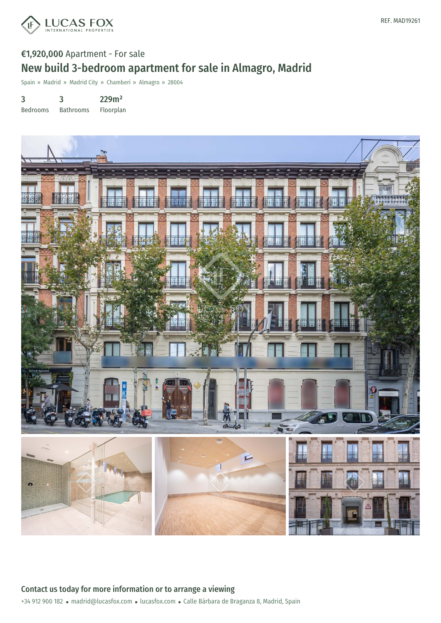

# €1,920,000 Apartment - For sale New build 3-bedroom apartment for sale in Almagro, Madrid

Spain » Madrid » Madrid City » Chamberí » Almagro » 28004

3 3 229m²

Bedrooms Bathrooms Floorplan

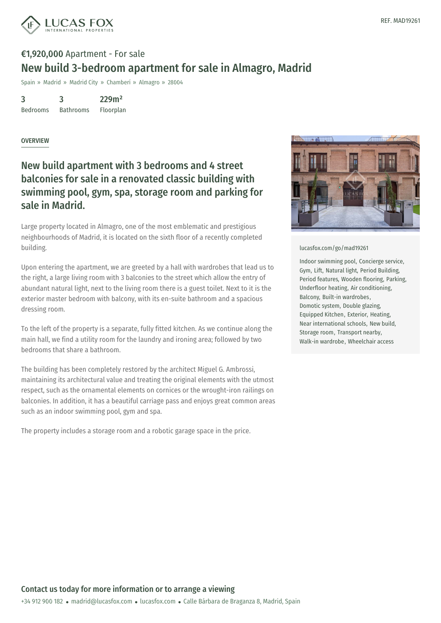

## €1,920,000 Apartment - For sale New build 3-bedroom apartment for sale in Almagro, Madrid

Spain » Madrid » Madrid City » Chamberí » Almagro » 28004

3 Bedrooms 3 Bathrooms 229m²

Floorplan

#### OVERVIEW

### New build apartment with 3 bedrooms and 4 street balconies for sale in a renovated classic building with swimming pool, gym, spa, storage room and parking for sale in Madrid.

Large property located in Almagro, one of the most emblematic and prestigious neighbourhoods of Madrid, it is located on the sixth floor of a recently completed building.

Upon entering the apartment, we are greeted by a hall with wardrobes that lead us to the right, a large living room with 3 balconies to the street which allow the entry of abundant natural light, next to the living room there is a guest toilet. Next to it is the exterior master bedroom with balcony, with its en-suite bathroom and a spacious dressing room.

To the left of the property is a separate, fully fitted kitchen. As we continue along the main hall, we find a utility room for the laundry and ironing area; followed by two bedrooms that share a bathroom.

The building has been completely restored by the architect Miguel G. Ambrossi, maintaining its architectural value and treating the original elements with the utmost respect, such as the ornamental elements on cornices or the wrought-iron railings on balconies. In addition, it has a beautiful carriage pass and enjoys great common areas such as an indoor swimming pool, gym and spa.

The property includes a storage room and a robotic garage space in the price.



#### [lucasfox.com/go/mad19261](https://www.lucasfox.com/go/mad19261)

Indoor swimming pool, Concierge service, Gym, Lift, Natural light, Period Building, Period features, Wooden flooring, Parking, Underfloor heating, Air conditioning, Balcony, Built-in wardrobes, Domotic system, Double glazing, Equipped Kitchen, Exterior, Heating, Near international schools, New build, Storage room, Transport nearby, Walk-in wardrobe, Wheelchair access